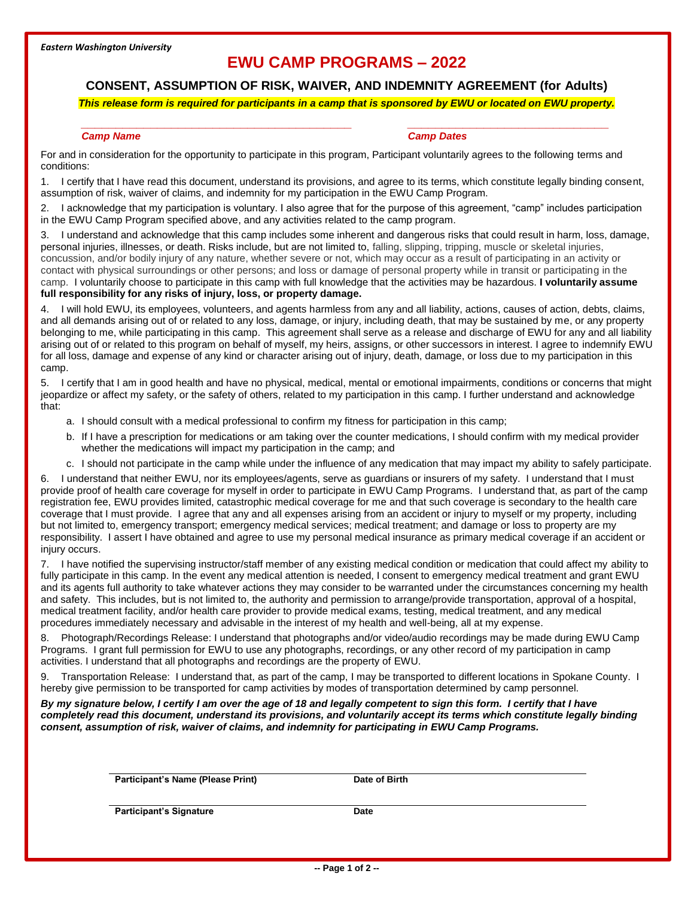# **EWU CAMP PROGRAMS – 2022**

## **CONSENT, ASSUMPTION OF RISK, WAIVER, AND INDEMNITY AGREEMENT (for Adults)**

### *This release form is required for participants in a camp that is sponsored by EWU or located on EWU property.*

#### *\_\_\_\_\_\_\_\_\_\_\_\_\_\_\_\_\_\_\_\_\_\_\_\_\_\_\_\_\_\_\_\_\_\_\_\_\_\_\_ \_\_\_\_\_\_\_\_\_\_\_\_\_\_\_\_\_\_\_\_\_\_\_\_\_\_\_\_\_ Camp Name Camp Dates*

For and in consideration for the opportunity to participate in this program, Participant voluntarily agrees to the following terms and conditions:

1. I certify that I have read this document, understand its provisions, and agree to its terms, which constitute legally binding consent, assumption of risk, waiver of claims, and indemnity for my participation in the EWU Camp Program.

2. I acknowledge that my participation is voluntary. I also agree that for the purpose of this agreement, "camp" includes participation in the EWU Camp Program specified above, and any activities related to the camp program.

3. I understand and acknowledge that this camp includes some inherent and dangerous risks that could result in harm, loss, damage, personal injuries, illnesses, or death. Risks include, but are not limited to, falling, slipping, tripping, muscle or skeletal injuries, concussion, and/or bodily injury of any nature, whether severe or not, which may occur as a result of participating in an activity or contact with physical surroundings or other persons; and loss or damage of personal property while in transit or participating in the camp. I voluntarily choose to participate in this camp with full knowledge that the activities may be hazardous. **I voluntarily assume full responsibility for any risks of injury, loss, or property damage.** 

4. I will hold EWU, its employees, volunteers, and agents harmless from any and all liability, actions, causes of action, debts, claims, and all demands arising out of or related to any loss, damage, or injury, including death, that may be sustained by me, or any property belonging to me, while participating in this camp. This agreement shall serve as a release and discharge of EWU for any and all liability arising out of or related to this program on behalf of myself, my heirs, assigns, or other successors in interest. I agree to indemnify EWU for all loss, damage and expense of any kind or character arising out of injury, death, damage, or loss due to my participation in this camp.

5. I certify that I am in good health and have no physical, medical, mental or emotional impairments, conditions or concerns that might jeopardize or affect my safety, or the safety of others, related to my participation in this camp. I further understand and acknowledge that:

- a. I should consult with a medical professional to confirm my fitness for participation in this camp;
- b. If I have a prescription for medications or am taking over the counter medications, I should confirm with my medical provider whether the medications will impact my participation in the camp; and
- c. I should not participate in the camp while under the influence of any medication that may impact my ability to safely participate.

6. I understand that neither EWU, nor its employees/agents, serve as guardians or insurers of my safety. I understand that I must provide proof of health care coverage for myself in order to participate in EWU Camp Programs. I understand that, as part of the camp registration fee, EWU provides limited, catastrophic medical coverage for me and that such coverage is secondary to the health care coverage that I must provide. I agree that any and all expenses arising from an accident or injury to myself or my property, including but not limited to, emergency transport; emergency medical services; medical treatment; and damage or loss to property are my responsibility. I assert I have obtained and agree to use my personal medical insurance as primary medical coverage if an accident or injury occurs.

7. I have notified the supervising instructor/staff member of any existing medical condition or medication that could affect my ability to fully participate in this camp. In the event any medical attention is needed, I consent to emergency medical treatment and grant EWU and its agents full authority to take whatever actions they may consider to be warranted under the circumstances concerning my health and safety. This includes, but is not limited to, the authority and permission to arrange/provide transportation, approval of a hospital, medical treatment facility, and/or health care provider to provide medical exams, testing, medical treatment, and any medical procedures immediately necessary and advisable in the interest of my health and well-being, all at my expense.

8. Photograph/Recordings Release: I understand that photographs and/or video/audio recordings may be made during EWU Camp Programs. I grant full permission for EWU to use any photographs, recordings, or any other record of my participation in camp activities. I understand that all photographs and recordings are the property of EWU.

9. Transportation Release: I understand that, as part of the camp, I may be transported to different locations in Spokane County. I hereby give permission to be transported for camp activities by modes of transportation determined by camp personnel.

*By my signature below, I certify I am over the age of 18 and legally competent to sign this form. I certify that I have completely read this document, understand its provisions, and voluntarily accept its terms which constitute legally binding consent, assumption of risk, waiver of claims, and indemnity for participating in EWU Camp Programs.* 

| Participant's Name (Please Print |  |
|----------------------------------|--|
|----------------------------------|--|

**Date of Birth** 

**Participant's Signature Date**